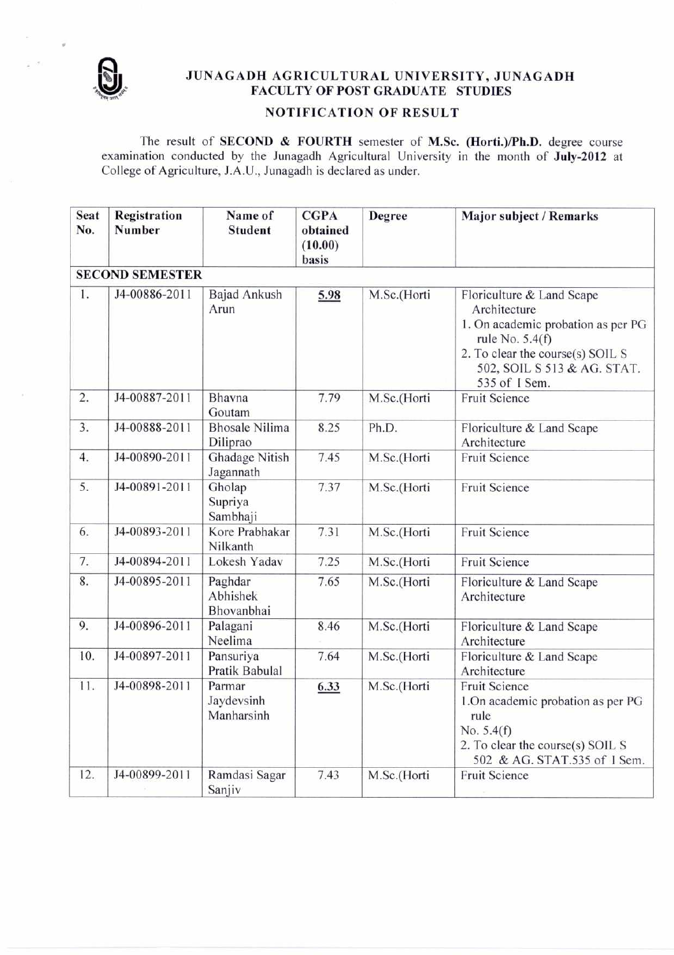

## **JUNAGADH AGRICULTURAL UNIVERSITY, JUNAGADH FACULTY OF POST GRADUATE STUDIES**

## **NOTIFICATION OF RESULT**

The result of **SECOND & FOURTH** semester of **M.Sc. (Horti.)/Ph.D.** degree course examination conducted by the Junagadh Agricultural University in the month of **July-2012** at College of Agriculture, J.A.U., Junagadh is declared as under.

| <b>Seat</b><br>No. | Registration<br><b>Number</b> | Name of<br><b>Student</b>          | <b>CGPA</b><br>obtained<br>(10.00)<br>basis | Degree      | <b>Major subject / Remarks</b>                                                                                                                                                           |  |  |  |  |
|--------------------|-------------------------------|------------------------------------|---------------------------------------------|-------------|------------------------------------------------------------------------------------------------------------------------------------------------------------------------------------------|--|--|--|--|
|                    | <b>SECOND SEMESTER</b>        |                                    |                                             |             |                                                                                                                                                                                          |  |  |  |  |
| 1.                 | J4-00886-2011                 | <b>Bajad Ankush</b><br>Arun        | 5.98                                        | M.Sc.(Horti | Floriculture & Land Scape<br>Architecture<br>1. On academic probation as per PG<br>rule No. $5.4(f)$<br>2. To clear the course(s) SOIL S<br>502, SOIL S 513 & AG. STAT.<br>535 of 1 Sem. |  |  |  |  |
| 2.                 | J4-00887-2011                 | Bhavna<br>Goutam                   | 7.79                                        | M.Sc.(Horti | <b>Fruit Science</b>                                                                                                                                                                     |  |  |  |  |
| 3.                 | J4-00888-2011                 | <b>Bhosale Nilima</b><br>Diliprao  | 8.25                                        | Ph.D.       | Floriculture & Land Scape<br>Architecture                                                                                                                                                |  |  |  |  |
| 4.                 | J4-00890-2011                 | Ghadage Nitish<br>Jagannath        | 7.45                                        | M.Sc.(Horti | <b>Fruit Science</b>                                                                                                                                                                     |  |  |  |  |
| 5.                 | J4-00891-2011                 | Gholap<br>Supriya<br>Sambhaji      | 7.37                                        | M.Sc.(Horti | <b>Fruit Science</b>                                                                                                                                                                     |  |  |  |  |
| 6.                 | J4-00893-2011                 | Kore Prabhakar<br>Nilkanth         | 7.31                                        | M.Sc.(Horti | Fruit Science                                                                                                                                                                            |  |  |  |  |
| 7.                 | J4-00894-2011                 | Lokesh Yadav                       | 7.25                                        | M.Sc.(Horti | <b>Fruit Science</b>                                                                                                                                                                     |  |  |  |  |
| 8.                 | J4-00895-2011                 | Paghdar<br>Abhishek<br>Bhovanbhai  | 7.65                                        | M.Sc.(Horti | Floriculture & Land Scape<br>Architecture                                                                                                                                                |  |  |  |  |
| 9.                 | J4-00896-2011                 | Palagani<br>Neelima                | 8.46                                        | M.Sc.(Horti | Floriculture & Land Scape<br>Architecture                                                                                                                                                |  |  |  |  |
| 10.                | J4-00897-2011                 | Pansuriya<br>Pratik Babulal        | 7.64                                        | M.Sc.(Horti | Floriculture & Land Scape<br>Architecture                                                                                                                                                |  |  |  |  |
| 11.                | J4-00898-2011                 | Parmar<br>Jaydevsinh<br>Manharsinh | 6.33                                        | M.Sc.(Horti | <b>Fruit Science</b><br>1. On academic probation as per PG<br>rule<br>No. $5.4(f)$<br>2. To clear the course(s) SOIL S<br>502 & AG. STAT.535 of 1 Sem.                                   |  |  |  |  |
| 12.                | J4-00899-2011                 | Ramdasi Sagar<br>Sanjiv            | 7.43                                        | M.Sc.(Horti | <b>Fruit Science</b>                                                                                                                                                                     |  |  |  |  |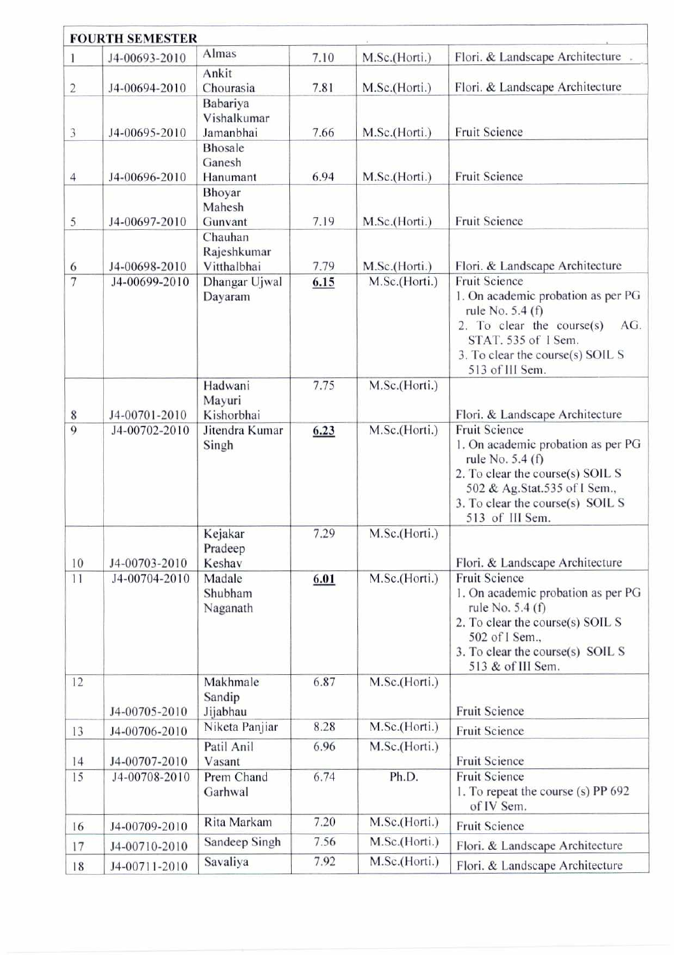| <b>FOURTH SEMESTER</b> |                                |                                                        |              |                                |                                                                                                                                                                                                           |  |  |
|------------------------|--------------------------------|--------------------------------------------------------|--------------|--------------------------------|-----------------------------------------------------------------------------------------------------------------------------------------------------------------------------------------------------------|--|--|
| 1                      | J4-00693-2010                  | Almas                                                  | 7.10         | M.Sc.(Horti.)                  | Flori. & Landscape Architecture                                                                                                                                                                           |  |  |
| 2                      | J4-00694-2010                  | Ankit<br>Chourasia                                     | 7.81         | M.Sc.(Horti.)                  | Flori. & Landscape Architecture                                                                                                                                                                           |  |  |
| 3                      | J4-00695-2010                  | Babariya<br>Vishalkumar<br>Jamanbhai<br><b>Bhosale</b> | 7.66         | M.Sc.(Horti.)                  | <b>Fruit Science</b>                                                                                                                                                                                      |  |  |
| 4                      | J4-00696-2010                  | Ganesh<br>Hanumant                                     | 6.94         | M.Sc.(Horti.)                  | <b>Fruit Science</b>                                                                                                                                                                                      |  |  |
| 5                      | J4-00697-2010                  | Bhoyar<br>Mahesh<br>Gunvant<br>Chauhan                 | 7.19         | M.Sc.(Horti.)                  | <b>Fruit Science</b>                                                                                                                                                                                      |  |  |
| 6<br>$\overline{7}$    | J4-00698-2010<br>J4-00699-2010 | Rajeshkumar<br>Vitthalbhai<br>Dhangar Ujwal            | 7.79<br>6.15 | M.Sc.(Horti.)<br>M.Sc.(Horti.) | Flori. & Landscape Architecture<br><b>Fruit Science</b>                                                                                                                                                   |  |  |
|                        |                                | Dayaram                                                |              |                                | 1. On academic probation as per PG<br>rule No. 5.4 (f)<br>2. To clear the course $(s)$<br>AG.<br>STAT. 535 of 1 Sem.<br>3. To clear the course(s) SOIL S<br>513 of III Sem.                               |  |  |
| $\,$ 8 $\,$            | J4-00701-2010                  | Hadwani<br>Mayuri<br>Kishorbhai                        | 7.75         | M.Sc.(Horti.)                  | Flori. & Landscape Architecture                                                                                                                                                                           |  |  |
| $\overline{9}$         | J4-00702-2010                  | Jitendra Kumar<br>Singh                                | 6.23         | M.Sc.(Horti.)                  | <b>Fruit Science</b><br>1. On academic probation as per PG<br>rule No. 5.4 (f)<br>2. To clear the course(s) SOIL S<br>502 & Ag.Stat.535 of I Sem.,<br>3. To clear the course(s) SOIL S<br>513 of III Sem. |  |  |
| 10                     | J4-00703-2010                  | Kejakar<br>Pradeep<br>Keshav                           | 7.29         | M.Sc.(Horti.)                  | Flori. & Landscape Architecture                                                                                                                                                                           |  |  |
| 11                     | J4-00704-2010                  | Madale<br>Shubham<br>Naganath                          | 6.01         | M.Sc.(Horti.)                  | <b>Fruit Science</b><br>1. On academic probation as per PG<br>rule No. 5.4 (f)<br>2. To clear the course(s) SOIL S<br>502 of I Sem.,<br>3. To clear the course(s) SOIL S<br>513 & of III Sem.             |  |  |
| 12                     | J4-00705-2010                  | Makhmale<br>Sandip<br>Jijabhau                         | 6.87         | M.Sc.(Horti.)                  | <b>Fruit Science</b>                                                                                                                                                                                      |  |  |
| 13                     | J4-00706-2010                  | Niketa Panjiar                                         | 8.28         | M.Sc.(Horti.)                  | Fruit Science                                                                                                                                                                                             |  |  |
| 14<br>15               | J4-00707-2010<br>J4-00708-2010 | Patil Anil<br>Vasant<br>Prem Chand                     | 6.96<br>6.74 | M.Sc.(Horti.)<br>Ph.D.         | <b>Fruit Science</b><br><b>Fruit Science</b>                                                                                                                                                              |  |  |
|                        |                                | Garhwal                                                |              |                                | 1. To repeat the course (s) PP 692<br>of IV Sem.                                                                                                                                                          |  |  |
| 16                     | J4-00709-2010                  | Rita Markam                                            | 7.20         | M.Sc.(Horti.)                  | Fruit Science                                                                                                                                                                                             |  |  |
| 17                     | J4-00710-2010                  | Sandeep Singh                                          | 7.56         | M.Sc.(Horti.)                  | Flori. & Landscape Architecture                                                                                                                                                                           |  |  |
| 18                     | J4-00711-2010                  | Savaliya                                               | 7.92         | M.Sc.(Horti.)                  | Flori. & Landscape Architecture                                                                                                                                                                           |  |  |